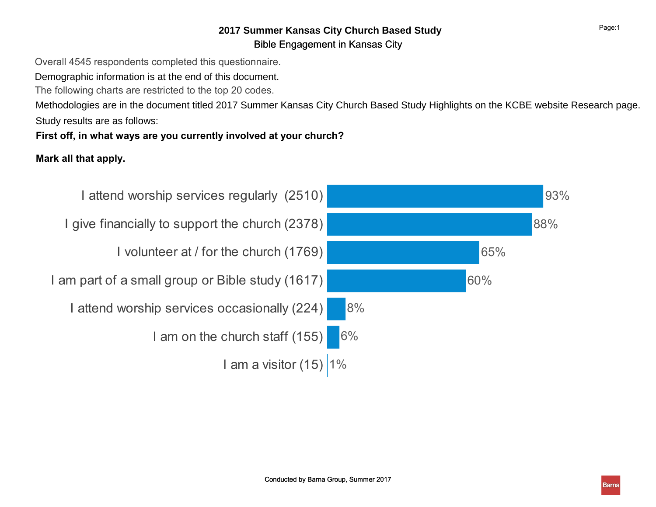# Bible Engagement in Kansas City **2017 Summer Kansas City Church Based Study**

Overall 4545 respondents completed this questionnaire.

Demographic information is at the end of this document.

The following charts are restricted to the top 20 codes.

Methodologies are in the document titled 2017 Summer Kansas City Church Based Study Highlights on the KCBE website Research page. Study results are as follows:

# First off, in what ways are you currently involved at your church?

# Mark all that apply.

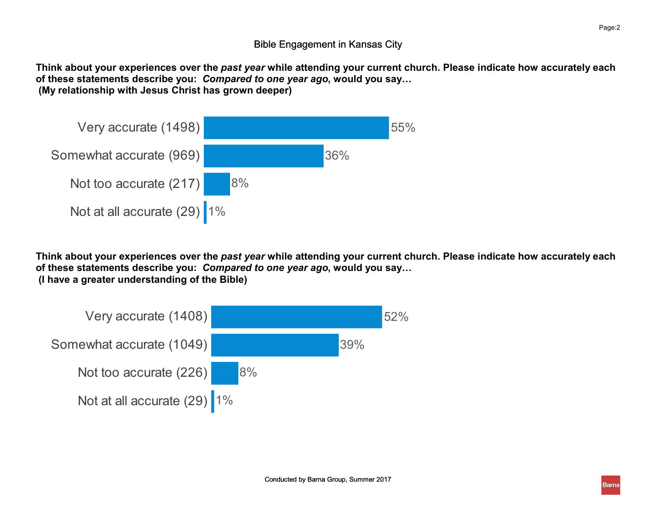Think about your experiences over the past year while attending your current church. Please indicate how accurately each of these statements describe you: Compared to one year ago, would you say… (My relationship with Jesus Christ has grown deeper)



Think about your experiences over the past year while attending your current church. Please indicate how accurately each of these statements describe you: Compared to one year ago, would you say… (I have a greater understanding of the Bible)

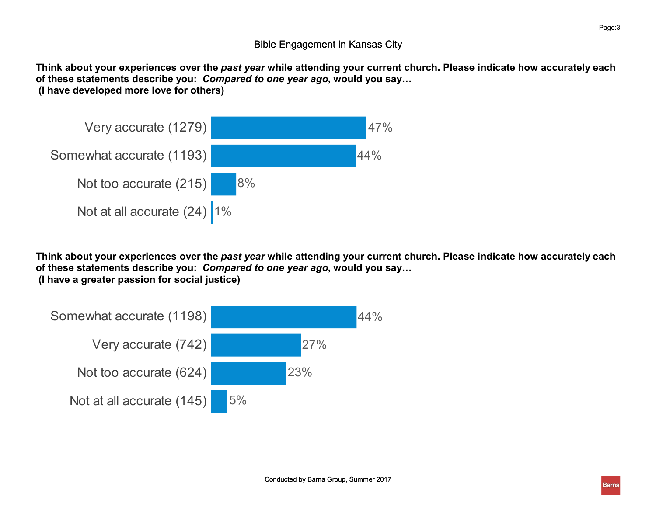Think about your experiences over the past year while attending your current church. Please indicate how accurately each of these statements describe you: Compared to one year ago, would you say… (I have developed more love for others)



Think about your experiences over the past year while attending your current church. Please indicate how accurately each of these statements describe you: Compared to one year ago, would you say… (I have a greater passion for social justice)

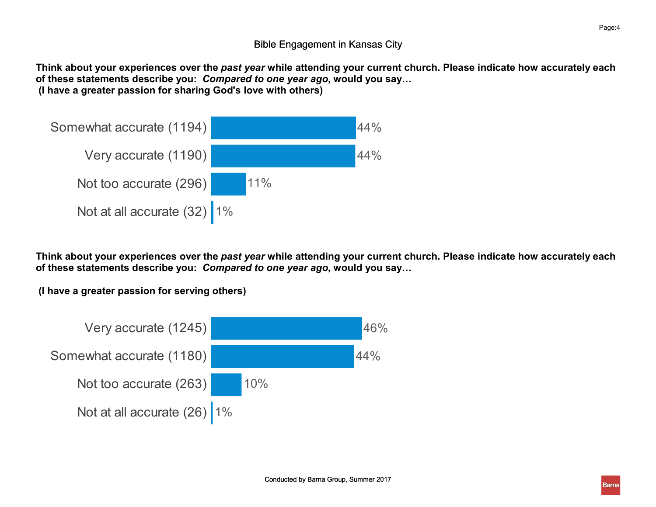Think about your experiences over the past year while attending your current church. Please indicate how accurately each of these statements describe you: Compared to one year ago, would you say… (I have a greater passion for sharing God's love with others)



Think about your experiences over the past year while attending your current church. Please indicate how accurately each of these statements describe you: Compared to one year ago, would you say…

(I have a greater passion for serving others)

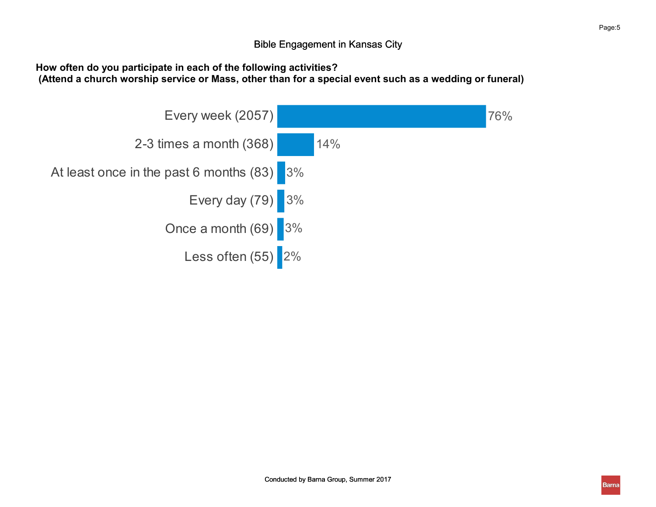How often do you participate in each of the following activities?

(Attend a church worship service or Mass, other than for a special event such as a wedding or funeral)

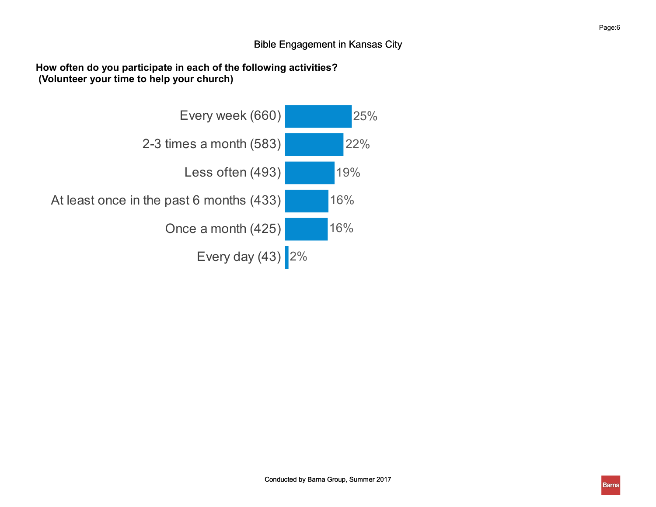How often do you participate in each of the following activities? (Volunteer your time to help your church)

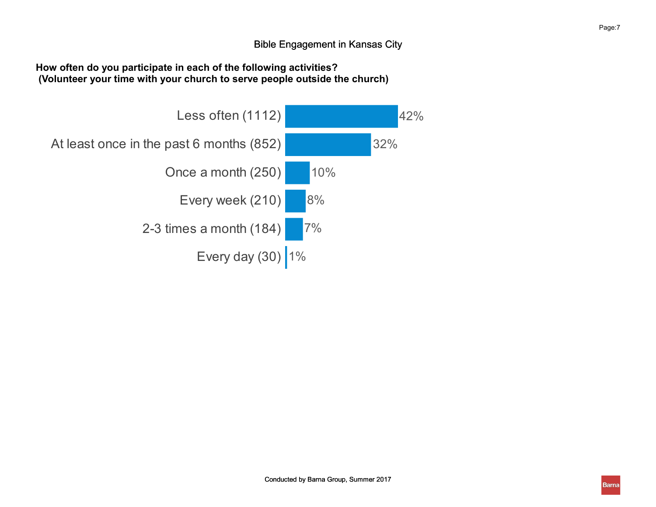### How often do you participate in each of the following activities? (Volunteer your time with your church to serve people outside the church)

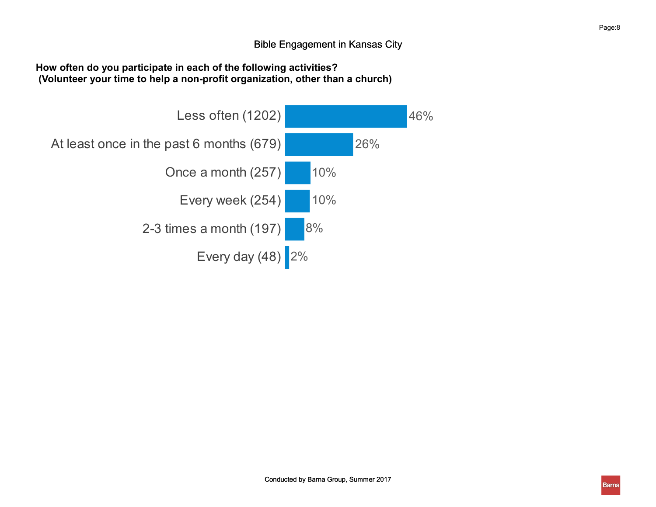### How often do you participate in each of the following activities? (Volunteer your time to help a non-profit organization, other than a church)

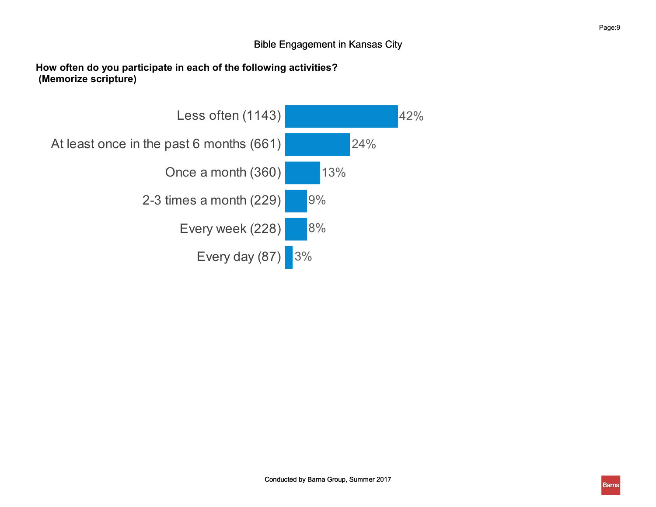### How often do you participate in each of the following activities? (Memorize scripture)

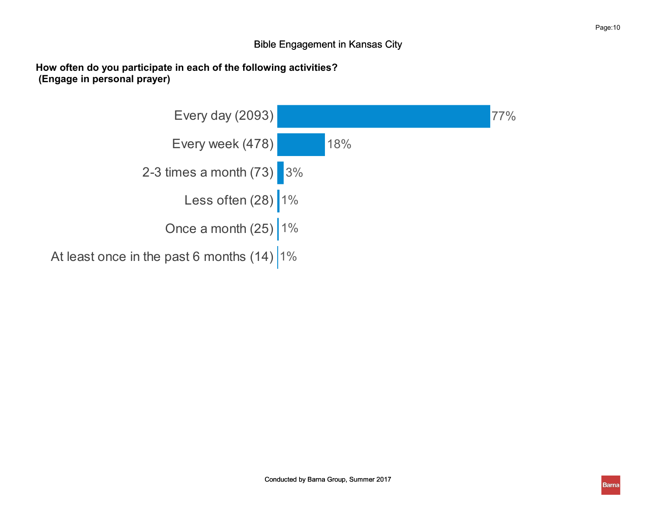How often do you participate in each of the following activities? (Engage in personal prayer)

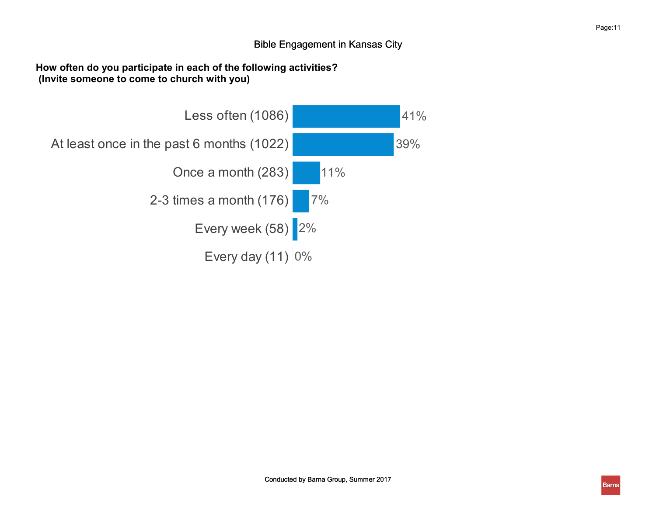#### How often do you participate in each of the following activities? (Invite someone to come to church with you)

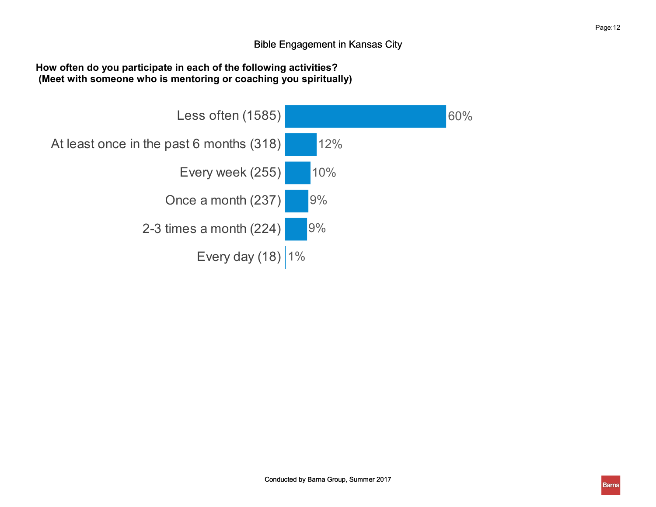### How often do you participate in each of the following activities? (Meet with someone who is mentoring or coaching you spiritually)

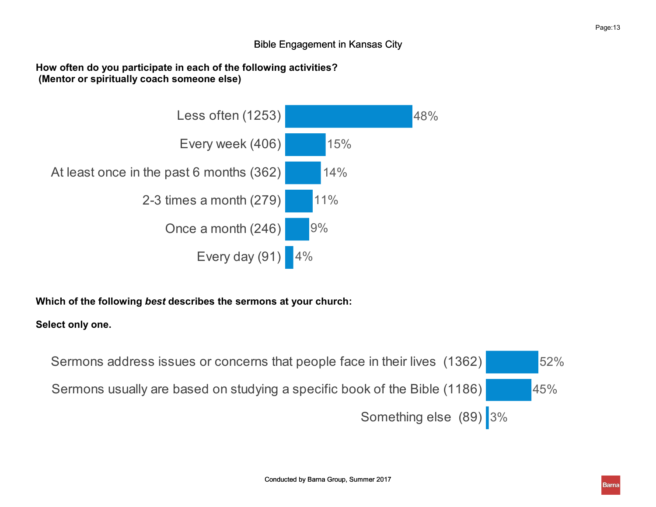### How often do you participate in each of the following activities? (Mentor or spiritually coach someone else)



Which of the following best describes the sermons at your church:

### Select only one.

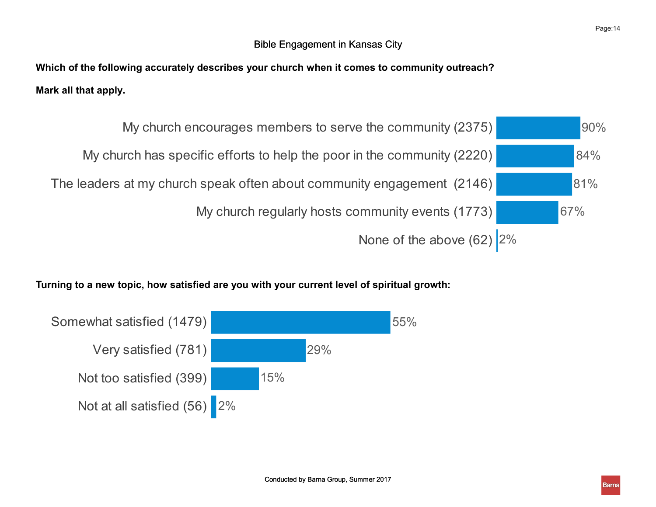Which of the following accurately describes your church when it comes to community outreach? Mark all that apply.



# Turning to a new topic, how satisfied are you with your current level of spiritual growth:

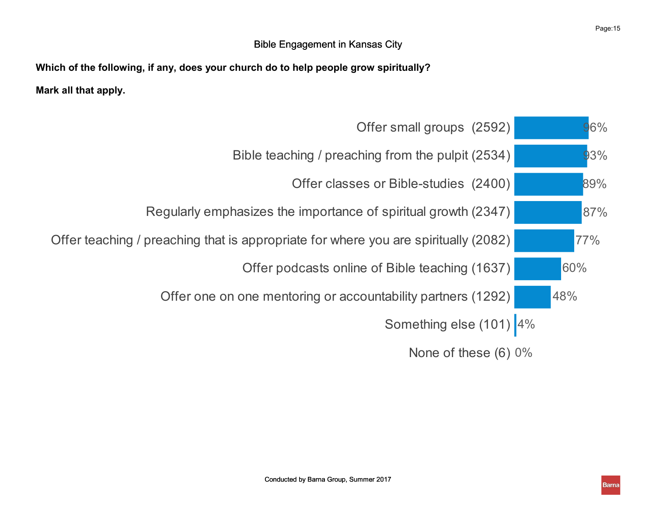Which of the following, if any, does your church do to help people grow spiritually? Mark all that apply.

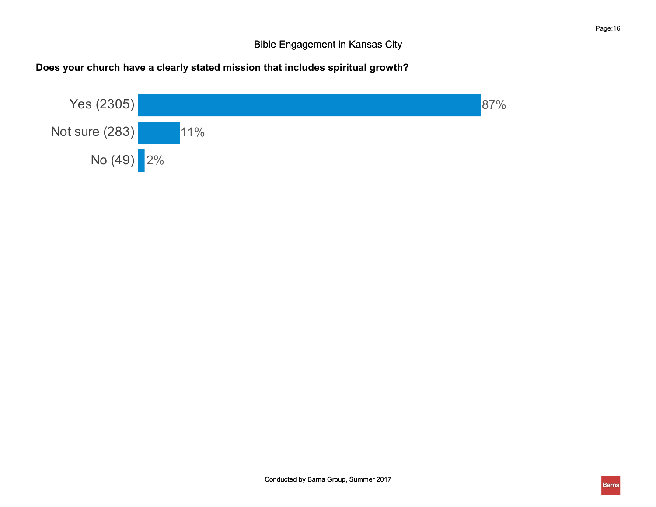# Does your church have a clearly stated mission that includes spiritual growth?

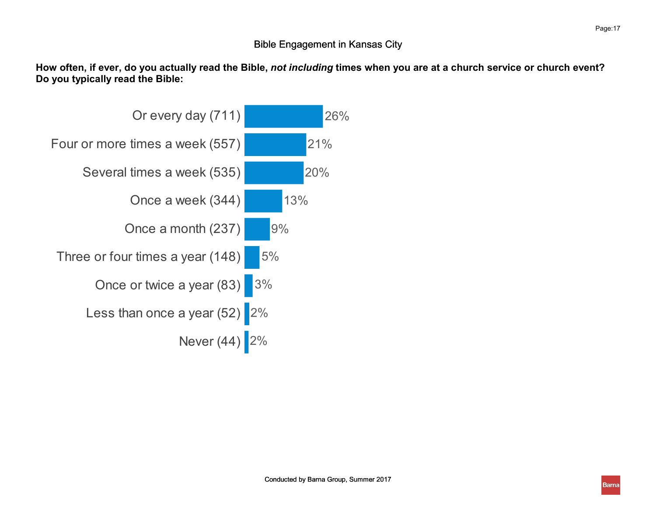How often, if ever, do you actually read the Bible, not including times when you are at a church service or church event? Do you typically read the Bible:

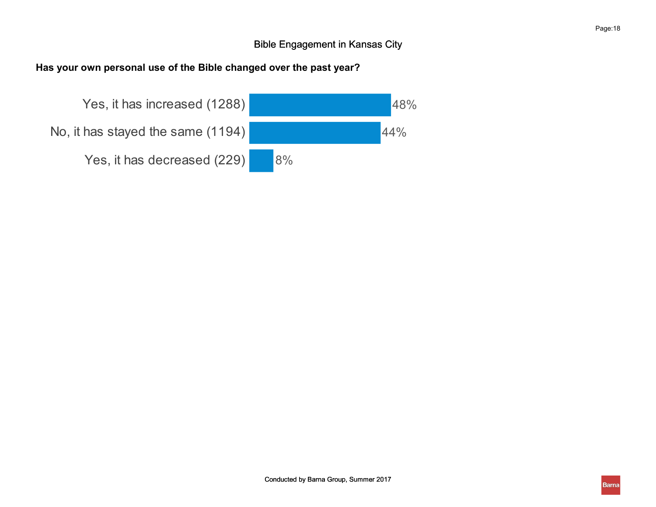# Has your own personal use of the Bible changed over the past year?

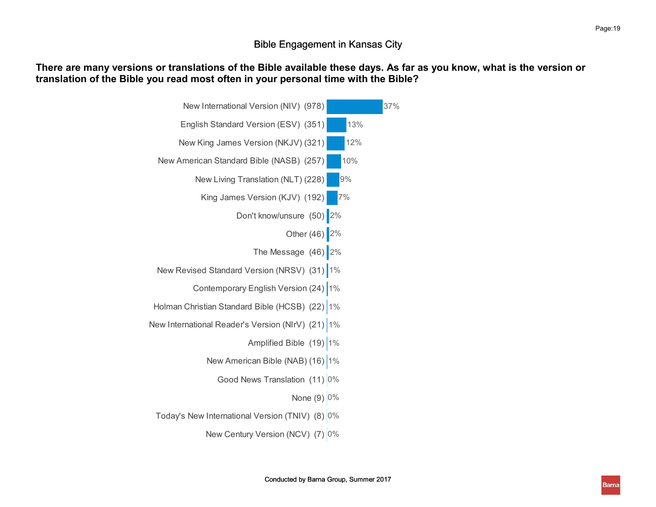### There are many versions or translations of the Bible available these days. As far as you know, what is the version or translation of the Bible you read most often in your personal time with the Bible?

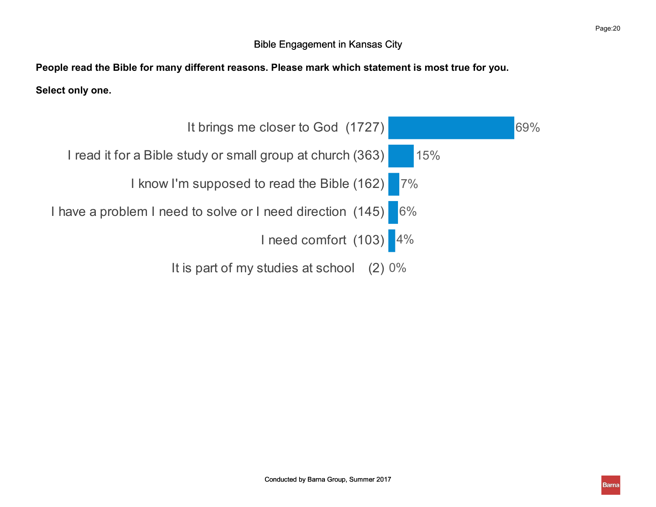People read the Bible for many different reasons. Please mark which statement is most true for you.

Select only one.

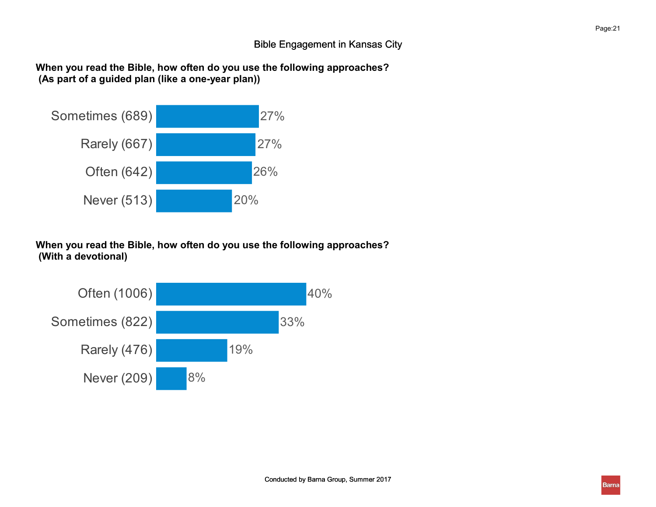When you read the Bible, how often do you use the following approaches? (As part of a guided plan (like a one-year plan))



When you read the Bible, how often do you use the following approaches? (With a devotional)

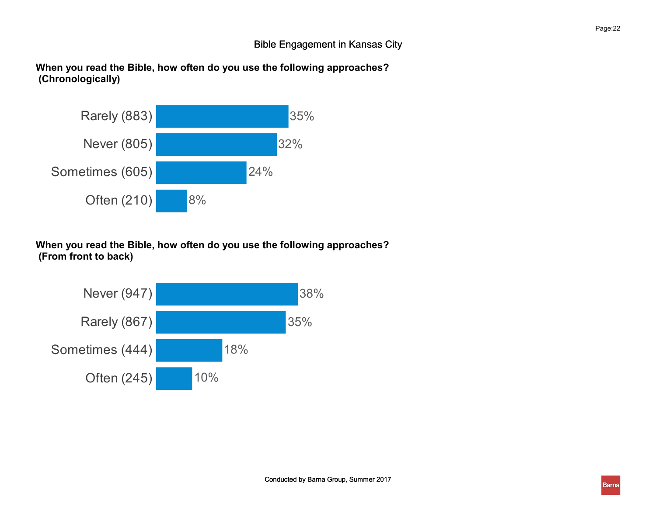When you read the Bible, how often do you use the following approaches? (Chronologically)



When you read the Bible, how often do you use the following approaches? (From front to back)

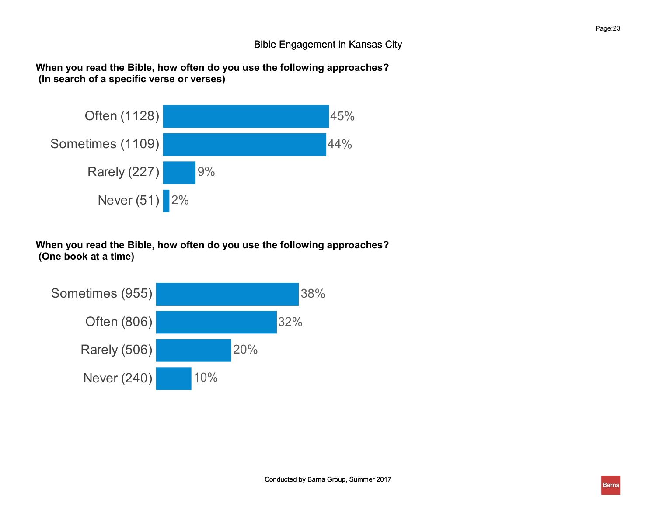When you read the Bible, how often do you use the following approaches? (In search of a specific verse or verses)



When you read the Bible, how often do you use the following approaches? (One book at a time)

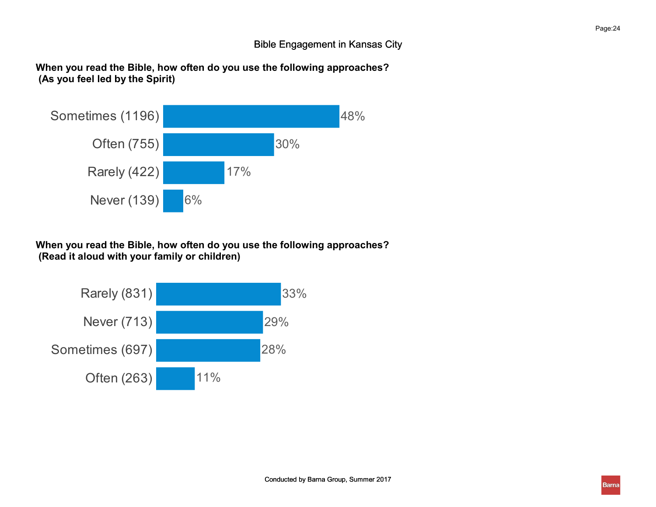When you read the Bible, how often do you use the following approaches? (As you feel led by the Spirit)



When you read the Bible, how often do you use the following approaches? (Read it aloud with your family or children)

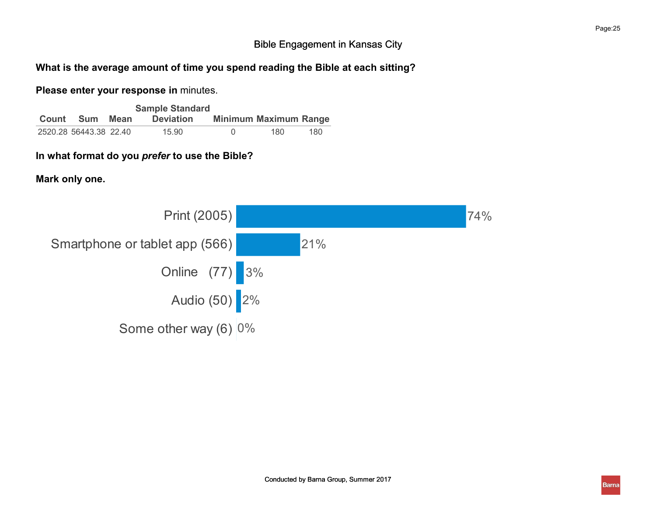### What is the average amount of time you spend reading the Bible at each sitting?

### Please enter your response in minutes.

|       |                        |      | <b>Sample Standard</b> |                              |      |
|-------|------------------------|------|------------------------|------------------------------|------|
| Count | Sum                    | Mean | <b>Deviation</b>       | <b>Minimum Maximum Range</b> |      |
|       | 2520.28 56443.38 22.40 |      | 15.90                  | 180                          | 180. |

## In what format do you prefer to use the Bible?

Mark only one.

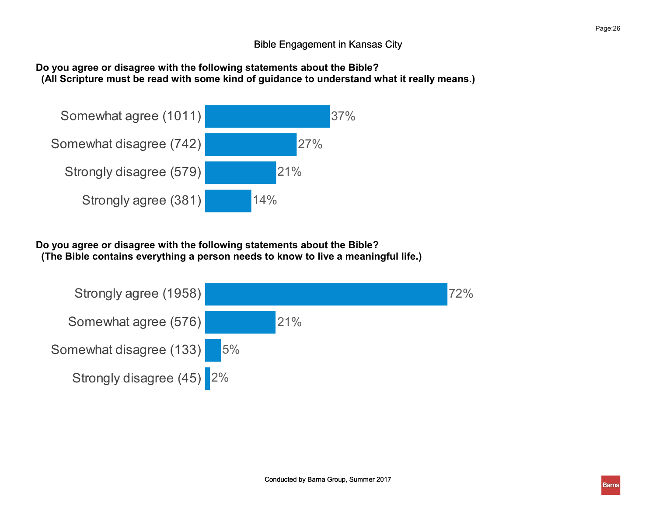### Do you agree or disagree with the following statements about the Bible? (All Scripture must be read with some kind of guidance to understand what it really means.)



Do you agree or disagree with the following statements about the Bible? (The Bible contains everything a person needs to know to live a meaningful life.)

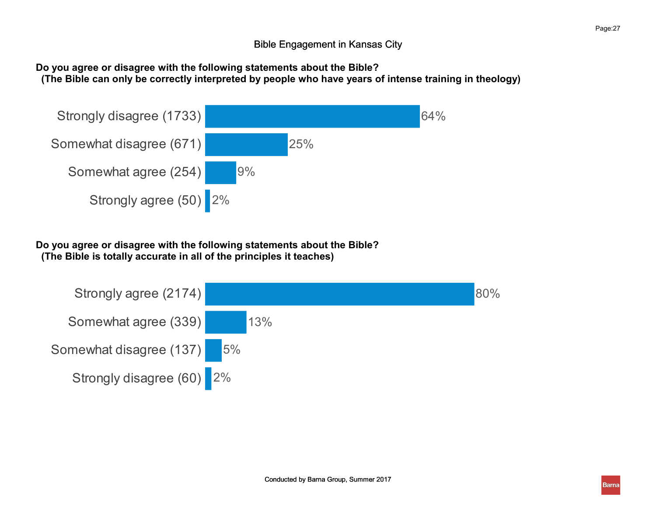### Do you agree or disagree with the following statements about the Bible? (The Bible can only be correctly interpreted by people who have years of intense training in theology)



Do you agree or disagree with the following statements about the Bible? (The Bible is totally accurate in all of the principles it teaches)

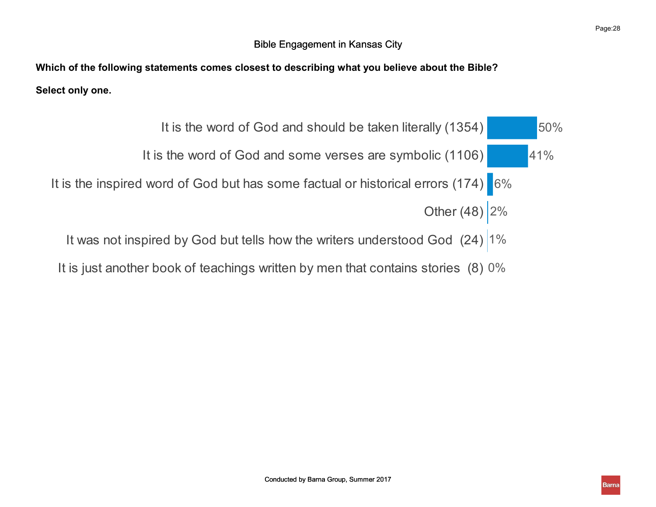Which of the following statements comes closest to describing what you believe about the Bible? Select only one.

- It is the word of God and should be taken literally (1354) 50% It is the word of God and some verses are symbolic (1106) 41% It is the inspired word of God but has some factual or historical errors (174) 6% Other (48)  $2%$ 50% 6% and the contract of the contract of the contract of the contract of the contract of the contract of the contract of the contract of the contract of the contract of the contract of the contract of the contract of the con 41%  $2\%$ 
	- It was not inspired by God but tells how the writers understood God (24) 1% 1%
	- It is just another book of teachings written by men that contains stories (8)  $0\%$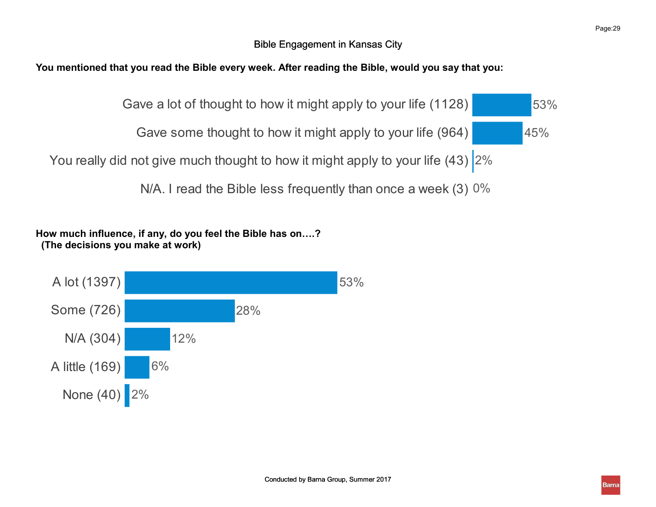# You mentioned that you read the Bible every week. After reading the Bible, would you say that you:



How much influence, if any, do you feel the Bible has on….? (The decisions you make at work)

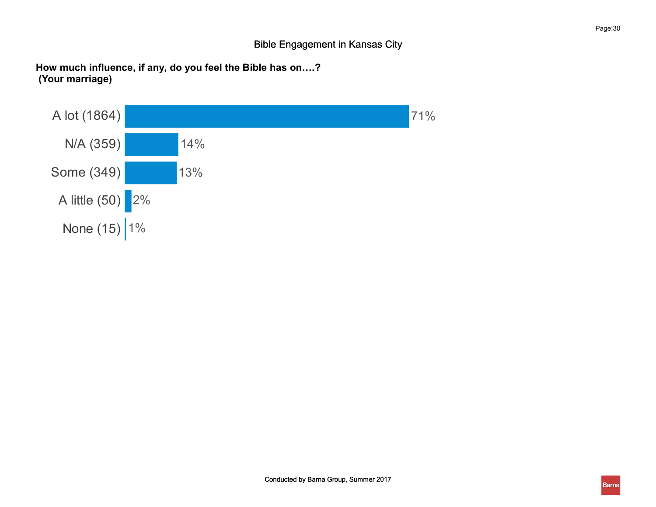How much influence, if any, do you feel the Bible has on….? (Your marriage)

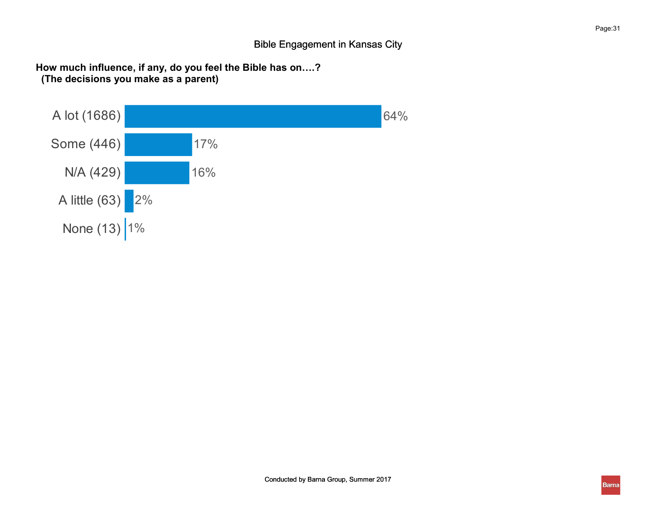How much influence, if any, do you feel the Bible has on….? (The decisions you make as a parent)

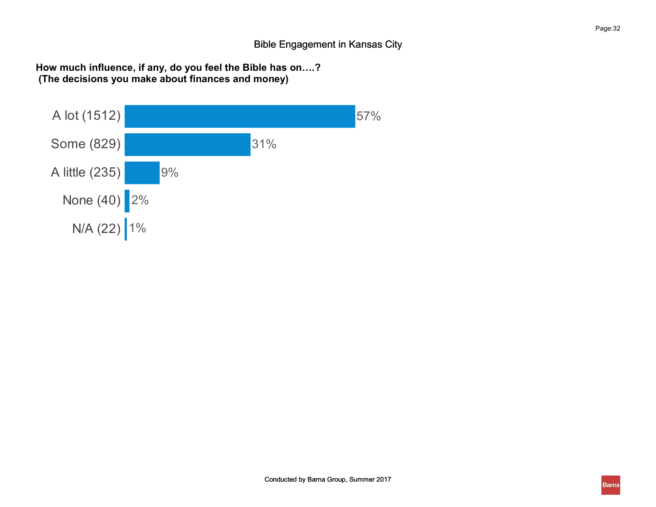How much influence, if any, do you feel the Bible has on….? (The decisions you make about finances and money)

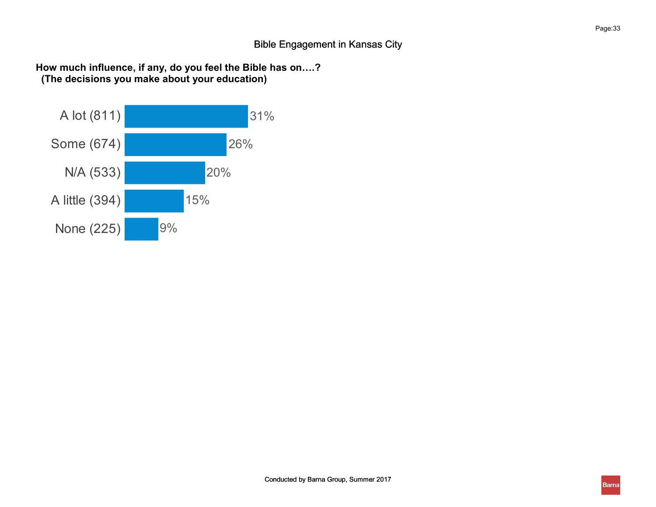How much influence, if any, do you feel the Bible has on….? (The decisions you make about your education)

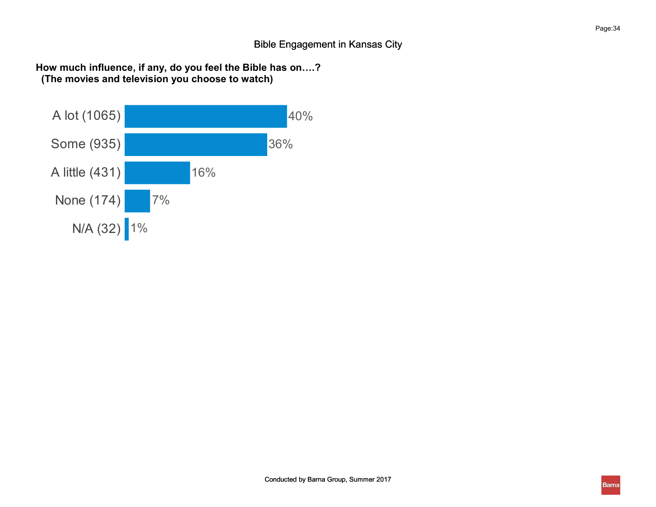How much influence, if any, do you feel the Bible has on….? (The movies and television you choose to watch)

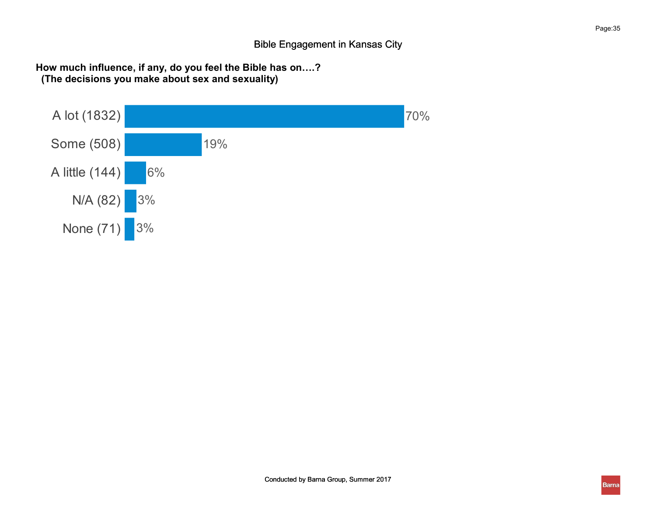How much influence, if any, do you feel the Bible has on….? (The decisions you make about sex and sexuality)

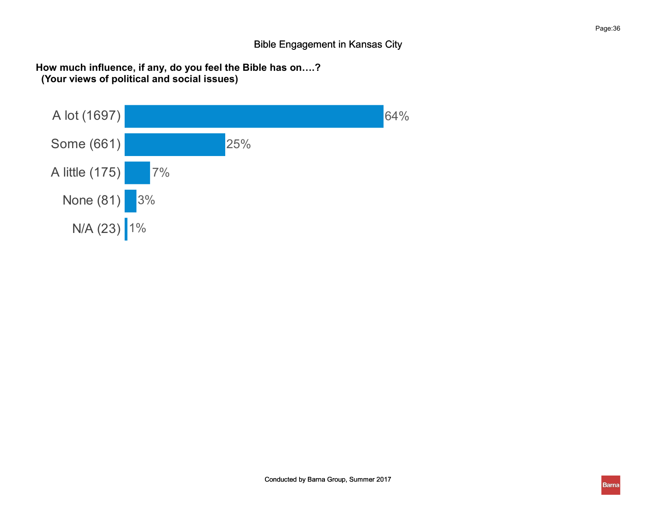How much influence, if any, do you feel the Bible has on….? (Your views of political and social issues)

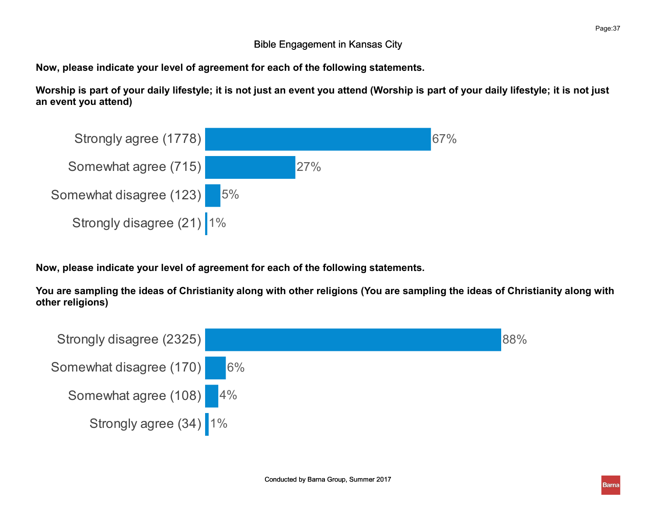Now, please indicate your level of agreement for each of the following statements.

Worship is part of your daily lifestyle; it is not just an event you attend (Worship is part of your daily lifestyle; it is not just an event you attend)



Now, please indicate your level of agreement for each of the following statements.

You are sampling the ideas of Christianity along with other religions (You are sampling the ideas of Christianity along with other religions)

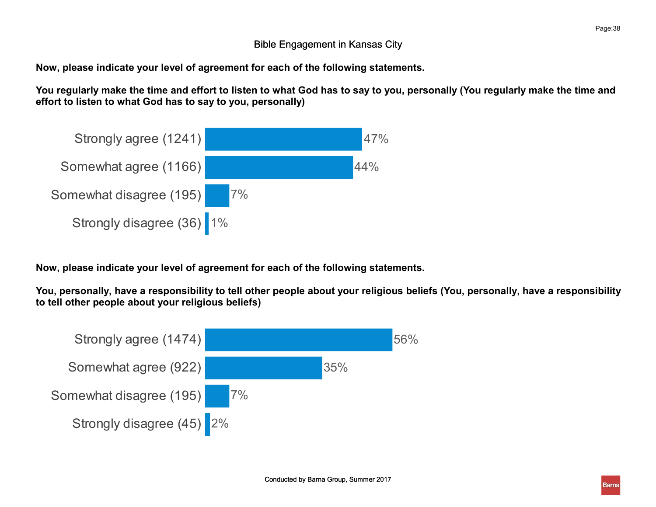Now, please indicate your level of agreement for each of the following statements.

You regularly make the time and effort to listen to what God has to say to you, personally (You regularly make the time and effort to listen to what God has to say to you, personally)



Now, please indicate your level of agreement for each of the following statements.

You, personally, have a responsibility to tell other people about your religious beliefs (You, personally, have a responsibility to tell other people about your religious beliefs)

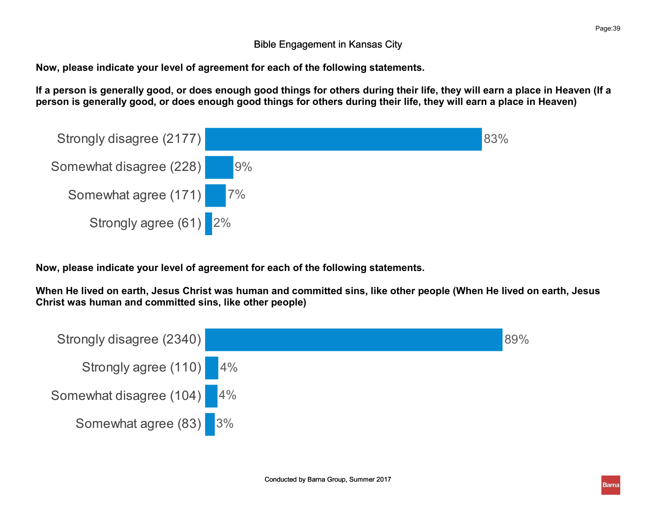Now, please indicate your level of agreement for each of the following statements.

If a person is generally good, or does enough good things for others during their life, they will earn a place in Heaven (If a person is generally good, or does enough good things for others during their life, they will earn a place in Heaven)



Now, please indicate your level of agreement for each of the following statements.

When He lived on earth, Jesus Christ was human and committed sins, like other people (When He lived on earth, Jesus Christ was human and committed sins, like other people)

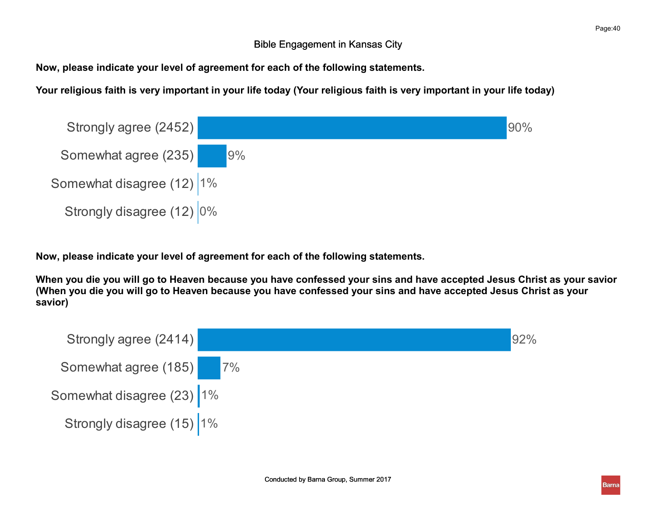Now, please indicate your level of agreement for each of the following statements.

Your religious faith is very important in your life today (Your religious faith is very important in your life today)



Now, please indicate your level of agreement for each of the following statements.

When you die you will go to Heaven because you have confessed your sins and have accepted Jesus Christ as your savior (When you die you will go to Heaven because you have confessed your sins and have accepted Jesus Christ as your savior)

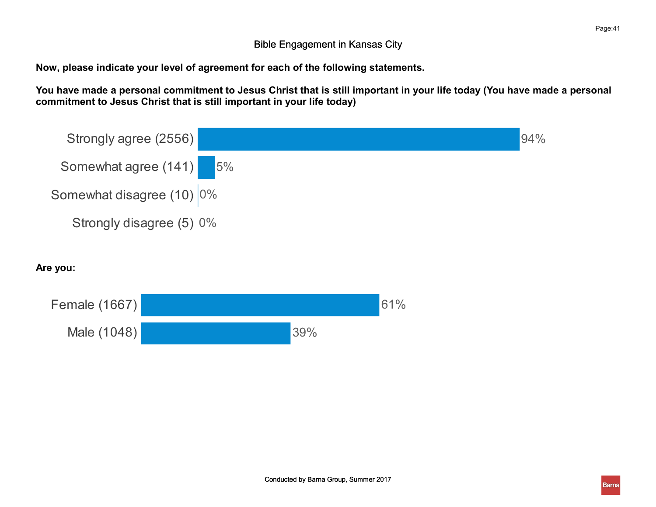Now, please indicate your level of agreement for each of the following statements.

Male (1048) 39%

You have made a personal commitment to Jesus Christ that is still important in your life today (You have made a personal commitment to Jesus Christ that is still important in your life today)

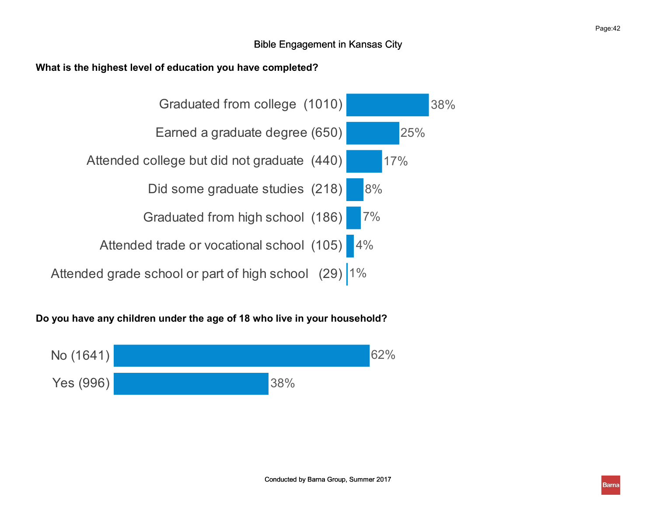#### What is the highest level of education you have completed?



### Do you have any children under the age of 18 who live in your household?

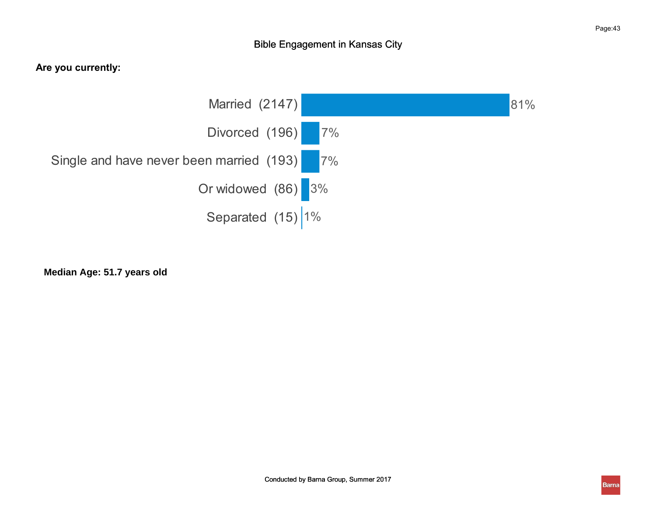### Are you currently:



 $\frac{1}{2}$ 87 **Median Age: 51.7 years old**